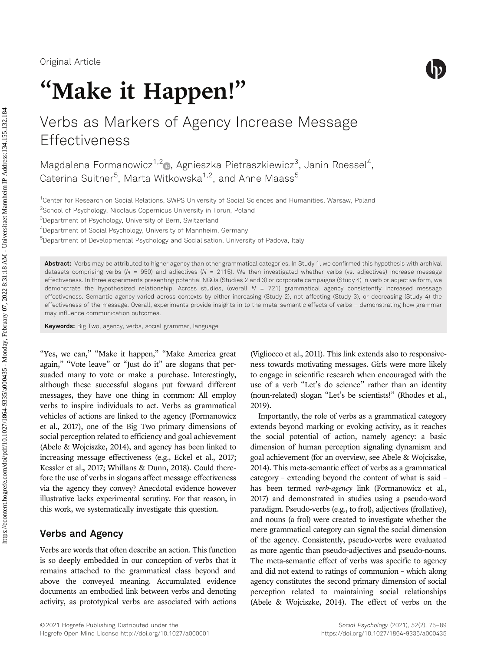

# "Make it Happen!"

# Verbs as Markers of Agency Increase Message **Effectiveness**

Magdalena Formanowicz<sup>1,2</sup> , Agnieszka Pietraszkiewicz<sup>3</sup>, Janin Roessel<sup>4</sup>, Caterina Suitner<sup>5</sup>, Marta Witkowska<sup>1,2</sup>, and Anne Maass<sup>5</sup>

1 Center for Research on Social Relations, SWPS University of Social Sciences and Humanities, Warsaw, Poland

<sup>2</sup>School of Psychology, Nicolaus Copernicus University in Torun, Poland

3 Department of Psychology, University of Bern, Switzerland

4 Department of Social Psychology, University of Mannheim, Germany

5 Department of Developmental Psychology and Socialisation, University of Padova, Italy

Abstract: Verbs may be attributed to higher agency than other grammatical categories. In Study 1, we confirmed this hypothesis with archival datasets comprising verbs ( $N = 950$ ) and adjectives ( $N = 2115$ ). We then investigated whether verbs (vs. adjectives) increase message effectiveness. In three experiments presenting potential NGOs (Studies 2 and 3) or corporate campaigns (Study 4) in verb or adjective form, we demonstrate the hypothesized relationship. Across studies, (overall  $N = 721$ ) grammatical agency consistently increased message effectiveness. Semantic agency varied across contexts by either increasing (Study 2), not affecting (Study 3), or decreasing (Study 4) the effectiveness of the message. Overall, experiments provide insights in to the meta-semantic effects of verbs – demonstrating how grammar may influence communication outcomes.

Keywords: Big Two, agency, verbs, social grammar, language

"Yes, we can," "Make it happen," "Make America great again," "Vote leave" or "Just do it" are slogans that persuaded many to vote or make a purchase. Interestingly, although these successful slogans put forward different messages, they have one thing in common: All employ verbs to inspire individuals to act. Verbs as grammatical vehicles of actions are linked to the agency (Formanowicz et al., 2017), one of the Big Two primary dimensions of social perception related to efficiency and goal achievement (Abele & Wojciszke, 2014), and agency has been linked to increasing message effectiveness (e.g., Eckel et al., 2017; Kessler et al., 2017; Whillans & Dunn, 2018). Could therefore the use of verbs in slogans affect message effectiveness via the agency they convey? Anecdotal evidence however illustrative lacks experimental scrutiny. For that reason, in this work, we systematically investigate this question.

# Verbs and Agency

Verbs are words that often describe an action. This function is so deeply embedded in our conception of verbs that it remains attached to the grammatical class beyond and above the conveyed meaning. Accumulated evidence documents an embodied link between verbs and denoting activity, as prototypical verbs are associated with actions

(Vigliocco et al., 2011). This link extends also to responsiveness towards motivating messages. Girls were more likely to engage in scientific research when encouraged with the use of a verb "Let's do science" rather than an identity (noun-related) slogan "Let's be scientists!" (Rhodes et al., 2019).

Importantly, the role of verbs as a grammatical category extends beyond marking or evoking activity, as it reaches the social potential of action, namely agency: a basic dimension of human perception signaling dynamism and goal achievement (for an overview, see Abele & Wojciszke, 2014). This meta-semantic effect of verbs as a grammatical category – extending beyond the content of what is said – has been termed *verb-agency* link (Formanowicz et al., 2017) and demonstrated in studies using a pseudo-word paradigm. Pseudo-verbs (e.g., to frol), adjectives (frollative), and nouns (a frol) were created to investigate whether the mere grammatical category can signal the social dimension of the agency. Consistently, pseudo-verbs were evaluated as more agentic than pseudo-adjectives and pseudo-nouns. The meta-semantic effect of verbs was specific to agency and did not extend to ratings of communion – which along agency constitutes the second primary dimension of social perception related to maintaining social relationships (Abele & Wojciszke, 2014). The effect of verbs on the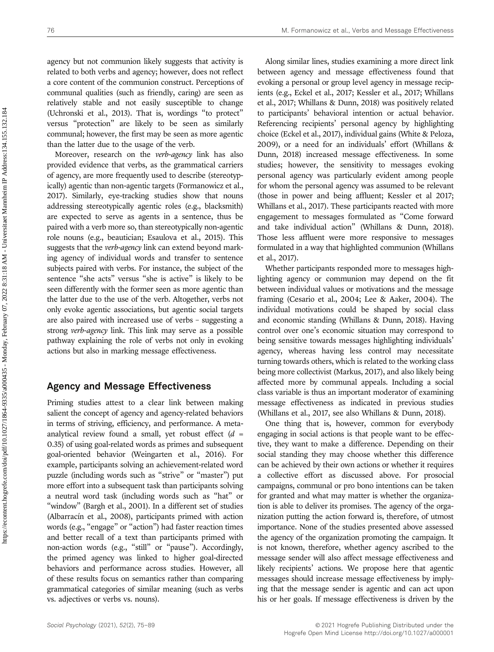agency but not communion likely suggests that activity is related to both verbs and agency; however, does not reflect a core content of the communion construct. Perceptions of communal qualities (such as friendly, caring) are seen as relatively stable and not easily susceptible to change (Uchronski et al., 2013). That is, wordings "to protect" versus "protection" are likely to be seen as similarly communal; however, the first may be seen as more agentic than the latter due to the usage of the verb.

Moreover, research on the verb-agency link has also provided evidence that verbs, as the grammatical carriers of agency, are more frequently used to describe (stereotypically) agentic than non-agentic targets (Formanowicz et al., 2017). Similarly, eye-tracking studies show that nouns addressing stereotypically agentic roles (e.g., blacksmith) are expected to serve as agents in a sentence, thus be paired with a verb more so, than stereotypically non-agentic role nouns (e.g., beautician; Esaulova et al., 2015). This suggests that the verb-agency link can extend beyond marking agency of individual words and transfer to sentence subjects paired with verbs. For instance, the subject of the sentence "she acts" versus "she is active" is likely to be seen differently with the former seen as more agentic than the latter due to the use of the verb. Altogether, verbs not only evoke agentic associations, but agentic social targets are also paired with increased use of verbs – suggesting a strong verb-agency link. This link may serve as a possible pathway explaining the role of verbs not only in evoking actions but also in marking message effectiveness.

#### Agency and Message Effectiveness

Priming studies attest to a clear link between making salient the concept of agency and agency-related behaviors in terms of striving, efficiency, and performance. A metaanalytical review found a small, yet robust effect  $(d =$ 0.35) of using goal-related words as primes and subsequent goal-oriented behavior (Weingarten et al., 2016). For example, participants solving an achievement-related word puzzle (including words such as "strive" or "master") put more effort into a subsequent task than participants solving a neutral word task (including words such as "hat" or "window" (Bargh et al., 2001). In a different set of studies (Albarracín et al., 2008), participants primed with action words (e.g., "engage" or "action") had faster reaction times and better recall of a text than participants primed with non-action words (e.g., "still" or "pause"). Accordingly, the primed agency was linked to higher goal-directed behaviors and performance across studies. However, all of these results focus on semantics rather than comparing grammatical categories of similar meaning (such as verbs vs. adjectives or verbs vs. nouns).

Along similar lines, studies examining a more direct link between agency and message effectiveness found that evoking a personal or group level agency in message recipients (e.g., Eckel et al., 2017; Kessler et al., 2017; Whillans et al., 2017; Whillans & Dunn, 2018) was positively related to participants' behavioral intention or actual behavior. Referencing recipients' personal agency by highlighting choice (Eckel et al., 2017), individual gains (White & Peloza, 2009), or a need for an individuals' effort (Whillans & Dunn, 2018) increased message effectiveness. In some studies; however, the sensitivity to messages evoking personal agency was particularly evident among people for whom the personal agency was assumed to be relevant (those in power and being affluent; Kessler et al 2017; Whillans et al., 2017). These participants reacted with more engagement to messages formulated as "Come forward and take individual action" (Whillans & Dunn, 2018). Those less affluent were more responsive to messages formulated in a way that highlighted communion (Whillans et al., 2017).

Whether participants responded more to messages highlighting agency or communion may depend on the fit between individual values or motivations and the message framing (Cesario et al., 2004; Lee & Aaker, 2004). The individual motivations could be shaped by social class and economic standing (Whillans & Dunn, 2018). Having control over one's economic situation may correspond to being sensitive towards messages highlighting individuals' agency, whereas having less control may necessitate turning towards others, which is related to the working class being more collectivist (Markus, 2017), and also likely being affected more by communal appeals. Including a social class variable is thus an important moderator of examining message effectiveness as indicated in previous studies (Whillans et al., 2017, see also Whillans & Dunn, 2018).

One thing that is, however, common for everybody engaging in social actions is that people want to be effective, they want to make a difference. Depending on their social standing they may choose whether this difference can be achieved by their own actions or whether it requires a collective effort as discussed above. For prosocial campaigns, communal or pro bono intentions can be taken for granted and what may matter is whether the organization is able to deliver its promises. The agency of the organization putting the action forward is, therefore, of utmost importance. None of the studies presented above assessed the agency of the organization promoting the campaign. It is not known, therefore, whether agency ascribed to the message sender will also affect message effectiveness and likely recipients' actions. We propose here that agentic messages should increase message effectiveness by implying that the message sender is agentic and can act upon his or her goals. If message effectiveness is driven by the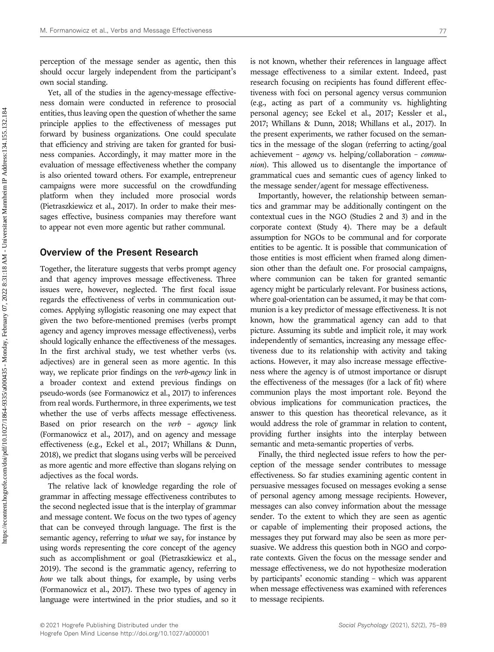perception of the message sender as agentic, then this should occur largely independent from the participant's own social standing.

Yet, all of the studies in the agency-message effectiveness domain were conducted in reference to prosocial entities, thus leaving open the question of whether the same principle applies to the effectiveness of messages put forward by business organizations. One could speculate that efficiency and striving are taken for granted for business companies. Accordingly, it may matter more in the evaluation of message effectiveness whether the company is also oriented toward others. For example, entrepreneur campaigns were more successful on the crowdfunding platform when they included more prosocial words (Pietraszkiewicz et al., 2017). In order to make their messages effective, business companies may therefore want to appear not even more agentic but rather communal.

# Overview of the Present Research

Together, the literature suggests that verbs prompt agency and that agency improves message effectiveness. Three issues were, however, neglected. The first focal issue regards the effectiveness of verbs in communication outcomes. Applying syllogistic reasoning one may expect that given the two before-mentioned premises (verbs prompt agency and agency improves message effectiveness), verbs should logically enhance the effectiveness of the messages. In the first archival study, we test whether verbs (vs. adjectives) are in general seen as more agentic. In this way, we replicate prior findings on the verb-agency link in a broader context and extend previous findings on pseudo-words (see Formanowicz et al., 2017) to inferences from real words. Furthermore, in three experiments, we test whether the use of verbs affects message effectiveness. Based on prior research on the verb - agency link (Formanowicz et al., 2017), and on agency and message effectiveness (e.g., Eckel et al., 2017; Whillans & Dunn, 2018), we predict that slogans using verbs will be perceived as more agentic and more effective than slogans relying on adjectives as the focal words.

The relative lack of knowledge regarding the role of grammar in affecting message effectiveness contributes to the second neglected issue that is the interplay of grammar and message content. We focus on the two types of agency that can be conveyed through language. The first is the semantic agency, referring to *what* we say, for instance by using words representing the core concept of the agency such as accomplishment or goal (Pietraszkiewicz et al., 2019). The second is the grammatic agency, referring to how we talk about things, for example, by using verbs (Formanowicz et al., 2017). These two types of agency in language were intertwined in the prior studies, and so it

is not known, whether their references in language affect message effectiveness to a similar extent. Indeed, past research focusing on recipients has found different effectiveness with foci on personal agency versus communion (e.g., acting as part of a community vs. highlighting personal agency; see Eckel et al., 2017; Kessler et al., 2017; Whillans & Dunn, 2018; Whillans et al., 2017). In the present experiments, we rather focused on the semantics in the message of the slogan (referring to acting/goal achievement – agency vs. helping/collaboration – commu*nion*). This allowed us to disentangle the importance of grammatical cues and semantic cues of agency linked to the message sender/agent for message effectiveness.

Importantly, however, the relationship between semantics and grammar may be additionally contingent on the contextual cues in the NGO (Studies 2 and 3) and in the corporate context (Study 4). There may be a default assumption for NGOs to be communal and for corporate entities to be agentic. It is possible that communication of those entities is most efficient when framed along dimension other than the default one. For prosocial campaigns, where communion can be taken for granted semantic agency might be particularly relevant. For business actions, where goal-orientation can be assumed, it may be that communion is a key predictor of message effectiveness. It is not known, how the grammatical agency can add to that picture. Assuming its subtle and implicit role, it may work independently of semantics, increasing any message effectiveness due to its relationship with activity and taking actions. However, it may also increase message effectiveness where the agency is of utmost importance or disrupt the effectiveness of the messages (for a lack of fit) where communion plays the most important role. Beyond the obvious implications for communication practices, the answer to this question has theoretical relevance, as it would address the role of grammar in relation to content, providing further insights into the interplay between semantic and meta-semantic properties of verbs.

Finally, the third neglected issue refers to how the perception of the message sender contributes to message effectiveness. So far studies examining agentic content in persuasive messages focused on messages evoking a sense of personal agency among message recipients. However, messages can also convey information about the message sender. To the extent to which they are seen as agentic or capable of implementing their proposed actions, the messages they put forward may also be seen as more persuasive. We address this question both in NGO and corporate contexts. Given the focus on the message sender and message effectiveness, we do not hypothesize moderation by participants' economic standing – which was apparent when message effectiveness was examined with references to message recipients.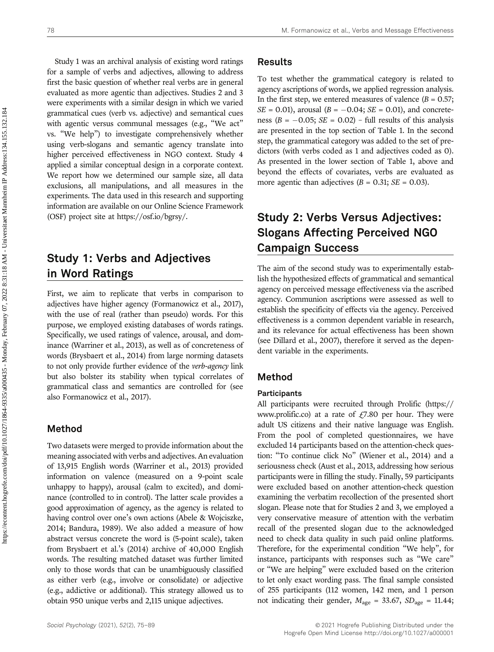Study 1 was an archival analysis of existing word ratings for a sample of verbs and adjectives, allowing to address first the basic question of whether real verbs are in general evaluated as more agentic than adjectives. Studies 2 and 3 were experiments with a similar design in which we varied grammatical cues (verb vs. adjective) and semantical cues with agentic versus communal messages (e.g., "We act" vs. "We help") to investigate comprehensively whether using verb-slogans and semantic agency translate into higher perceived effectiveness in NGO context. Study 4 applied a similar conceptual design in a corporate context. We report how we determined our sample size, all data exclusions, all manipulations, and all measures in the experiments. The data used in this research and supporting information are available on our Online Science Framework (OSF) project site at [https://osf.io/bgrsy/.](https://osf.io/bgrsy/)

# Study 1: Verbs and Adjectives in Word Ratings

First, we aim to replicate that verbs in comparison to adjectives have higher agency (Formanowicz et al., 2017), with the use of real (rather than pseudo) words. For this purpose, we employed existing databases of words ratings. Specifically, we used ratings of valence, arousal, and dominance (Warriner et al., 2013), as well as of concreteness of words (Brysbaert et al., 2014) from large norming datasets to not only provide further evidence of the verb-agency link but also bolster its stability when typical correlates of grammatical class and semantics are controlled for (see also Formanowicz et al., 2017).

# Method

Two datasets were merged to provide information about the meaning associated with verbs and adjectives. An evaluation of 13,915 English words (Warriner et al., 2013) provided information on valence (measured on a 9-point scale unhappy to happy), arousal (calm to excited), and dominance (controlled to in control). The latter scale provides a good approximation of agency, as the agency is related to having control over one's own actions (Abele & Wojciszke, 2014; Bandura, 1989). We also added a measure of how abstract versus concrete the word is (5-point scale), taken from Brysbaert et al.'s (2014) archive of 40,000 English words. The resulting matched dataset was further limited only to those words that can be unambiguously classified as either verb (e.g., involve or consolidate) or adjective (e.g., addictive or additional). This strategy allowed us to obtain 950 unique verbs and 2,115 unique adjectives.

### Results

To test whether the grammatical category is related to agency ascriptions of words, we applied regression analysis. In the first step, we entered measures of valence  $(B = 0.57)$ ;  $SE = 0.01$ , arousal ( $B = -0.04$ ;  $SE = 0.01$ ), and concreteness ( $B = -0.05$ ;  $SE = 0.02$ ) – full results of this analysis are presented in the top section of Table 1. In the second step, the grammatical category was added to the set of predictors (with verbs coded as 1 and adjectives coded as 0). As presented in the lower section of Table 1, above and beyond the effects of covariates, verbs are evaluated as more agentic than adjectives  $(B = 0.31; SE = 0.03)$ .

# Study 2: Verbs Versus Adjectives: Slogans Affecting Perceived NGO Campaign Success

The aim of the second study was to experimentally establish the hypothesized effects of grammatical and semantical agency on perceived message effectiveness via the ascribed agency. Communion ascriptions were assessed as well to establish the specificity of effects via the agency. Perceived effectiveness is a common dependent variable in research, and its relevance for actual effectiveness has been shown (see Dillard et al., 2007), therefore it served as the dependent variable in the experiments.

# Method

#### Participants

All participants were recruited through Prolific ([https://](https://www.prolific.co) [www.prolific.co](https://www.prolific.co)) at a rate of  $\angle$  47.80 per hour. They were adult US citizens and their native language was English. From the pool of completed questionnaires, we have excluded 14 participants based on the attention-check question: "To continue click No" (Wiener et al., 2014) and a seriousness check (Aust et al., 2013, addressing how serious participants were in filling the study. Finally, 59 participants were excluded based on another attention-check question examining the verbatim recollection of the presented short slogan. Please note that for Studies 2 and 3, we employed a very conservative measure of attention with the verbatim recall of the presented slogan due to the acknowledged need to check data quality in such paid online platforms. Therefore, for the experimental condition "We help", for instance, participants with responses such as "We care" or "We are helping" were excluded based on the criterion to let only exact wording pass. The final sample consisted of 255 participants (112 women, 142 men, and 1 person not indicating their gender,  $M_{\text{age}} = 33.67$ ,  $SD_{\text{age}} = 11.44$ ;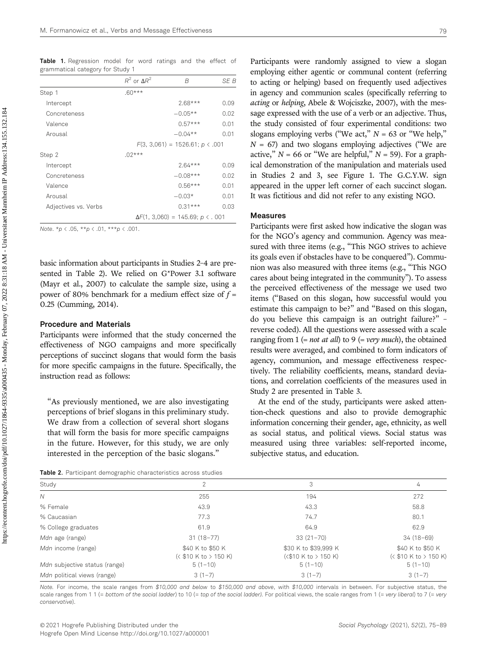Table 1. Regression model for word ratings and the effect of grammatical category for Study 1

|                      | $R^2$ or $\Delta R^2$ | B                                             | SE B |
|----------------------|-----------------------|-----------------------------------------------|------|
| Step 1               | $.60***$              |                                               |      |
| Intercept            |                       | $2.68***$                                     | 0.09 |
| Concreteness         |                       | $-0.05**$                                     | 0.02 |
| Valence              |                       | $0.57***$                                     | 0.01 |
| Arousal              |                       | $-0.04**$                                     | 0.01 |
|                      |                       | $F(3, 3,061) = 1526.61$ ; $p \lt .001$        |      |
| Step 2               | $.02***$              |                                               |      |
| Intercept            |                       | $2.64***$                                     | 0.09 |
| Concreteness         |                       | $-0.08***$                                    | 0.02 |
| Valence              |                       | $0.56***$                                     | 0.01 |
| Arousal              |                       | $-0.03*$                                      | 0.01 |
| Adjectives vs. Verbs |                       | $0.31***$                                     | 0.03 |
|                      |                       | $\Delta F(1, 3,060) = 145.69$ ; $p \lt 0.001$ |      |

Note. \* $p \lt .05$ , \*\* $p \lt .01$ , \*\*\* $p \lt .001$ .

basic information about participants in Studies 2–4 are presented in Table 2). We relied on G\*Power 3.1 software (Mayr et al., 2007) to calculate the sample size, using a power of 80% benchmark for a medium effect size of  $f =$ 0.25 (Cumming, 2014).

#### Procedure and Materials

Participants were informed that the study concerned the effectiveness of NGO campaigns and more specifically perceptions of succinct slogans that would form the basis for more specific campaigns in the future. Specifically, the instruction read as follows:

"As previously mentioned, we are also investigating perceptions of brief slogans in this preliminary study. We draw from a collection of several short slogans that will form the basis for more specific campaigns in the future. However, for this study, we are only interested in the perception of the basic slogans."

Participants were randomly assigned to view a slogan employing either agentic or communal content (referring to acting or helping) based on frequently used adjectives in agency and communion scales (specifically referring to acting or helping, Abele & Wojciszke, 2007), with the message expressed with the use of a verb or an adjective. Thus, the study consisted of four experimental conditions: two slogans employing verbs ("We act,"  $N = 63$  or "We help,"  $N = 67$ ) and two slogans employing adjectives ("We are active,"  $N = 66$  or "We are helpful,"  $N = 59$ ). For a graphical demonstration of the manipulation and materials used in Studies 2 and 3, see Figure 1. The G.C.Y.W. sign appeared in the upper left corner of each succinct slogan. It was fictitious and did not refer to any existing NGO.

#### Measures

Participants were first asked how indicative the slogan was for the NGO's agency and communion. Agency was measured with three items (e.g., "This NGO strives to achieve its goals even if obstacles have to be conquered"). Communion was also measured with three items (e.g., "This NGO cares about being integrated in the community"). To assess the perceived effectiveness of the message we used two items ("Based on this slogan, how successful would you estimate this campaign to be?" and "Based on this slogan, do you believe this campaign is an outright failure?" – reverse coded). All the questions were assessed with a scale ranging from 1 (= *not at all*) to 9 (= *very much*), the obtained results were averaged, and combined to form indicators of agency, communion, and message effectiveness respectively. The reliability coefficients, means, standard deviations, and correlation coefficients of the measures used in Study 2 are presented in Table 3.

At the end of the study, participants were asked attention-check questions and also to provide demographic information concerning their gender, age, ethnicity, as well as social status, and political views. Social status was measured using three variables: self-reported income, subjective status, and education.

Table 2. Participant demographic characteristics across studies

| Study                         | 2                                        | 3                                                     | 4                                         |
|-------------------------------|------------------------------------------|-------------------------------------------------------|-------------------------------------------|
| Ν                             | 255                                      | 194                                                   | 272                                       |
| % Female                      | 43.9                                     | 43.3                                                  | 58.8                                      |
| % Caucasian                   | 77.3                                     | 74.7                                                  | 80.1                                      |
| % College graduates           | 61.9                                     | 64.9                                                  | 62.9                                      |
| Mdn age (range)               | $31(18-77)$                              | $33(21 - 70)$                                         | $34(18-69)$                               |
| Mdn income (range)            | \$40 K to \$50 K<br>$($10 K to > 150 K)$ | \$30 K to \$39,999 K<br>$(\langle$ \$10 K to > 150 K) | \$40 K to \$50 K<br>(< \$10 K to > 150 K) |
| Mdn subjective status (range) | $5(1-10)$                                | $5(1-10)$                                             | $5(1-10)$                                 |
| Mdn political views (range)   | $3(1-7)$                                 | $3(1-7)$                                              | $3(1-7)$                                  |

Note. For income, the scale ranges from \$10,000 and below to \$150,000 and above, with \$10,000 intervals in between. For subjective status, the scale ranges from 1 1 (= bottom of the social ladder) to 10 (= top of the social ladder). For political views, the scale ranges from 1 (= very liberal) to 7 (= very conservative).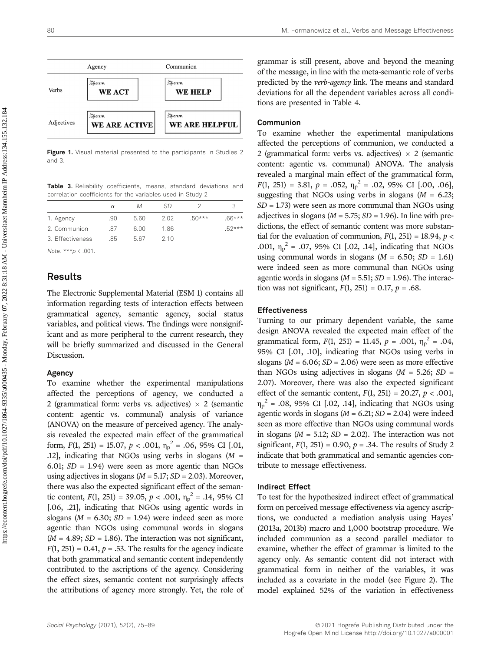

Figure 1. Visual material presented to the participants in Studies 2 and 3.

Table 3. Reliability coefficients, means, standard deviations and correlation coefficients for the variables used in Study 2

|                  | $\alpha$ | М    | SD   |          |          |
|------------------|----------|------|------|----------|----------|
| 1. Agency        | .90      | 5.60 | 2.02 | $.50***$ | $.66***$ |
| 2. Communion     | -87      | 6.00 | 1.86 |          | $.52***$ |
| 3. Effectiveness | 85       | 567  | 2.10 |          |          |

Note. \*\*\*p < .001.

# Results

The Electronic Supplemental Material (ESM 1) contains all information regarding tests of interaction effects between grammatical agency, semantic agency, social status variables, and political views. The findings were nonsignificant and as more peripheral to the current research, they will be briefly summarized and discussed in the General Discussion.

#### Agency

To examine whether the experimental manipulations affected the perceptions of agency, we conducted a 2 (grammatical form: verbs vs. adjectives)  $\times$  2 (semantic content: agentic vs. communal) analysis of variance (ANOVA) on the measure of perceived agency. The analysis revealed the expected main effect of the grammatical form,  $F(1, 251) = 15.07$ ,  $p < .001$ ,  $\eta_p^2 = .06$ , 95% CI [.01, .12], indicating that NGOs using verbs in slogans  $(M =$ 6.01;  $SD = 1.94$ ) were seen as more agentic than NGOs using adjectives in slogans ( $M = 5.17$ ;  $SD = 2.03$ ). Moreover, there was also the expected significant effect of the semantic content,  $F(1, 251) = 39.05$ ,  $p < .001$ ,  $\eta_p^2 = .14$ , 95% CI [.06, .21], indicating that NGOs using agentic words in slogans ( $M = 6.30$ ;  $SD = 1.94$ ) were indeed seen as more agentic than NGOs using communal words in slogans  $(M = 4.89; SD = 1.86)$ . The interaction was not significant,  $F(1, 251) = 0.41$ ,  $p = .53$ . The results for the agency indicate that both grammatical and semantic content independently contributed to the ascriptions of the agency. Considering the effect sizes, semantic content not surprisingly affects the attributions of agency more strongly. Yet, the role of grammar is still present, above and beyond the meaning of the message, in line with the meta-semantic role of verbs predicted by the verb-agency link. The means and standard deviations for all the dependent variables across all conditions are presented in Table 4.

#### Communion

To examine whether the experimental manipulations affected the perceptions of communion, we conducted a 2 (grammatical form: verbs vs. adjectives)  $\times$  2 (semantic content: agentic vs. communal) ANOVA. The analysis revealed a marginal main effect of the grammatical form,  $F(1, 251) = 3.81, p = .052, \eta_p^2 = .02, 95\% \text{ CI} [.00, .06],$ suggesting that NGOs using verbs in slogans ( $M = 6.23$ ;  $SD = 1.73$ ) were seen as more communal than NGOs using adjectives in slogans ( $M = 5.75$ ;  $SD = 1.96$ ). In line with predictions, the effect of semantic content was more substantial for the evaluation of communion,  $F(1, 251) = 18.94$ ,  $p <$ .001,  $\eta_p^2$  = .07, 95% CI [.02, .14], indicating that NGOs using communal words in slogans ( $M = 6.50$ ;  $SD = 1.61$ ) were indeed seen as more communal than NGOs using agentic words in slogans ( $M = 5.51$ ;  $SD = 1.96$ ). The interaction was not significant,  $F(1, 251) = 0.17$ ,  $p = .68$ .

#### Effectiveness

Turning to our primary dependent variable, the same design ANOVA revealed the expected main effect of the grammatical form,  $F(1, 251) = 11.45$ ,  $p = .001$ ,  $\eta_p^2 = .04$ , 95% CI [.01, .10], indicating that NGOs using verbs in slogans ( $M = 6.06$ ;  $SD = 2.06$ ) were seen as more effective than NGOs using adjectives in slogans  $(M = 5.26; SD =$ 2.07). Moreover, there was also the expected significant effect of the semantic content,  $F(1, 251) = 20.27$ ,  $p < .001$ ,  $\eta_p^2$  = .08, 95% CI [.02, .14], indicating that NGOs using agentic words in slogans ( $M = 6.21$ ;  $SD = 2.04$ ) were indeed seen as more effective than NGOs using communal words in slogans ( $M = 5.12$ ;  $SD = 2.02$ ). The interaction was not significant,  $F(1, 251) = 0.90$ ,  $p = 0.34$ . The results of Study 2 indicate that both grammatical and semantic agencies contribute to message effectiveness.

#### Indirect Effect

To test for the hypothesized indirect effect of grammatical form on perceived message effectiveness via agency ascriptions, we conducted a mediation analysis using Hayes' (2013a, 2013b) macro and 1,000 bootstrap procedure. We included communion as a second parallel mediator to examine, whether the effect of grammar is limited to the agency only. As semantic content did not interact with grammatical form in neither of the variables, it was included as a covariate in the model (see Figure 2). The model explained 52% of the variation in effectiveness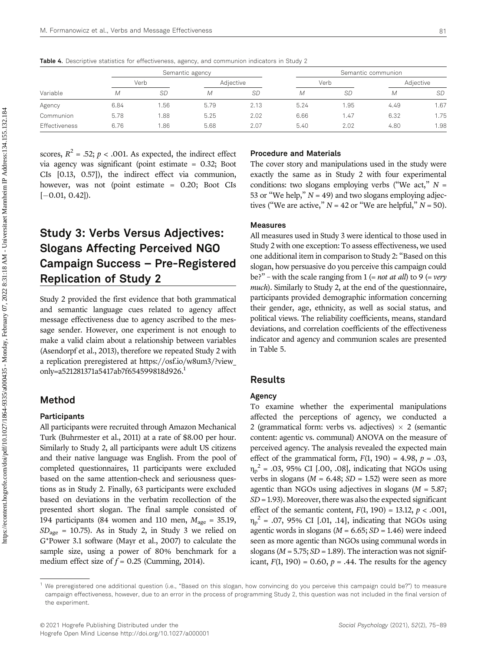|               |      |      | Semantic agency |      |      |      | Semantic communion |           |
|---------------|------|------|-----------------|------|------|------|--------------------|-----------|
|               |      | Verb | Adiective       |      | Verb |      | Adjective          |           |
| Variable      | М    | SD   | М               | SD   | М    | SD   | М                  | <b>SD</b> |
| Agency        | 6.84 | .56  | 5.79            | 2.13 | 5.24 | 1.95 | 4.49               | 1.67      |
| Communion     | 5.78 | .88  | 5.25            | 2.02 | 6.66 | 1.47 | 6.32               | 1.75      |
| Effectiveness | 6.76 | .86  | 5.68            | 2.07 | 5.40 | 2.02 | 4.80               | 1.98      |

Table 4. Descriptive statistics for effectiveness, agency, and communion indicators in Study 2

scores,  $R^2 = .52$ ;  $p < .001$ . As expected, the indirect effect via agency was significant (point estimate = 0.32; Boot CIs [0.13, 0.57]), the indirect effect via communion, however, was not (point estimate = 0.20; Boot CIs  $[-0.01, 0.42]$ .

# Study 3: Verbs Versus Adjectives: Slogans Affecting Perceived NGO Campaign Success – Pre-Registered Replication of Study 2

Study 2 provided the first evidence that both grammatical and semantic language cues related to agency affect message effectiveness due to agency ascribed to the message sender. However, one experiment is not enough to make a valid claim about a relationship between variables (Asendorpf et al., 2013), therefore we repeated Study 2 with a replication preregistered at [https://osf.io/w](https://osf.io/w8um3/?view_only=a521281371a5417ab7f654599818d926)8um3/?view\_ only=a521281371a5417ab7f[654599818](https://osf.io/w8um3/?view_only=a521281371a5417ab7f654599818d926)d926. 1

# Method

#### Participants

All participants were recruited through Amazon Mechanical Turk (Buhrmester et al., 2011) at a rate of \$8.00 per hour. Similarly to Study 2, all participants were adult US citizens and their native language was English. From the pool of completed questionnaires, 11 participants were excluded based on the same attention-check and seriousness questions as in Study 2. Finally, 63 participants were excluded based on deviations in the verbatim recollection of the presented short slogan. The final sample consisted of 194 participants (84 women and 110 men,  $M_{\text{age}} = 35.19$ ,  $SD<sub>age</sub> = 10.75$ . As in Study 2, in Study 3 we relied on G\*Power 3.1 software (Mayr et al., 2007) to calculate the sample size, using a power of 80% benchmark for a medium effect size of  $f = 0.25$  (Cumming, 2014).

#### Procedure and Materials

The cover story and manipulations used in the study were exactly the same as in Study 2 with four experimental conditions: two slogans employing verbs ("We act,"  $N =$ 53 or "We help,"  $N = 49$ ) and two slogans employing adjectives ("We are active,"  $N = 42$  or "We are helpful,"  $N = 50$ ).

#### Measures

All measures used in Study 3 were identical to those used in Study 2 with one exception: To assess effectiveness, we used one additional item in comparison to Study 2: "Based on this slogan, how persuasive do you perceive this campaign could be?" – with the scale ranging from  $1$  (= *not at all*) to  $9$  (= *very* much). Similarly to Study 2, at the end of the questionnaire, participants provided demographic information concerning their gender, age, ethnicity, as well as social status, and political views. The reliability coefficients, means, standard deviations, and correlation coefficients of the effectiveness indicator and agency and communion scales are presented in Table 5.

### Results

### Agency

To examine whether the experimental manipulations affected the perceptions of agency, we conducted a 2 (grammatical form: verbs vs. adjectives)  $\times$  2 (semantic content: agentic vs. communal) ANOVA on the measure of perceived agency. The analysis revealed the expected main effect of the grammatical form,  $F(1, 190) = 4.98$ ,  $p = .03$ ,  $\eta_p^2$  = .03, 95% CI [.00, .08], indicating that NGOs using verbs in slogans ( $M = 6.48$ ;  $SD = 1.52$ ) were seen as more agentic than NGOs using adjectives in slogans ( $M = 5.87$ ;  $SD = 1.93$ ). Moreover, there was also the expected significant effect of the semantic content,  $F(1, 190) = 13.12$ ,  $p < .001$ ,  $\eta_p^2$  = .07, 95% CI [.01, .14], indicating that NGOs using agentic words in slogans ( $M = 6.65$ ;  $SD = 1.46$ ) were indeed seen as more agentic than NGOs using communal words in slogans ( $M = 5.75$ ;  $SD = 1.89$ ). The interaction was not significant,  $F(1, 190) = 0.60$ ,  $p = .44$ . The results for the agency

<sup>1</sup> We preregistered one additional question (i.e., "Based on this slogan, how convincing do you perceive this campaign could be?") to measure campaign effectiveness, however, due to an error in the process of programming Study 2, this question was not included in the final version of the experiment.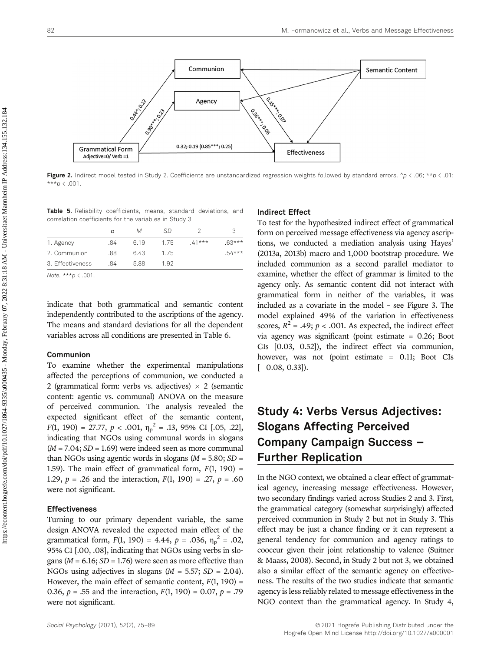

Figure 2. Indirect model tested in Study 2. Coefficients are unstandardized regression weights followed by standard errors.  $\gamma$  < .06;  $\star\kappa$  < .01; \*\*\* $p \le .001$ .

Table 5. Reliability coefficients, means, standard deviations, and correlation coefficients for the variables in Study 3

|                  | α   | М    | SD.  |          |          |
|------------------|-----|------|------|----------|----------|
| 1. Agency        | .84 | 6.19 | 175  | $.41***$ | $.63***$ |
| 2. Communion     | .88 | 6.43 | 175  |          | $.54***$ |
| 3. Effectiveness | 84  | 5.88 | 1.92 |          |          |
|                  |     |      |      |          |          |

Note. \*\*\*p < .001.

indicate that both grammatical and semantic content independently contributed to the ascriptions of the agency. The means and standard deviations for all the dependent variables across all conditions are presented in Table 6.

#### Communion

To examine whether the experimental manipulations affected the perceptions of communion, we conducted a 2 (grammatical form: verbs vs. adjectives)  $\times$  2 (semantic content: agentic vs. communal) ANOVA on the measure of perceived communion. The analysis revealed the expected significant effect of the semantic content,  $F(1, 190) = 27.77, p < .001, \eta_p^2 = .13, 95\% \text{ CI} [.05, .22],$ indicating that NGOs using communal words in slogans  $(M = 7.04; SD = 1.69)$  were indeed seen as more communal than NGOs using agentic words in slogans  $(M = 5.80; SD =$ 1.59). The main effect of grammatical form,  $F(1, 190) =$ 1.29,  $p = .26$  and the interaction,  $F(1, 190) = .27$ ,  $p = .60$ were not significant.

#### Effectiveness

Turning to our primary dependent variable, the same design ANOVA revealed the expected main effect of the grammatical form,  $F(1, 190) = 4.44$ ,  $p = .036$ ,  $\eta_p^2 = .02$ , 95% CI [.00, .08], indicating that NGOs using verbs in slogans ( $M = 6.16$ ;  $SD = 1.76$ ) were seen as more effective than NGOs using adjectives in slogans ( $M = 5.57$ ;  $SD = 2.04$ ). However, the main effect of semantic content,  $F(1, 190) =$ 0.36,  $p = .55$  and the interaction,  $F(1, 190) = 0.07$ ,  $p = .79$ were not significant.

#### Indirect Effect

To test for the hypothesized indirect effect of grammatical form on perceived message effectiveness via agency ascriptions, we conducted a mediation analysis using Hayes' (2013a, 2013b) macro and 1,000 bootstrap procedure. We included communion as a second parallel mediator to examine, whether the effect of grammar is limited to the agency only. As semantic content did not interact with grammatical form in neither of the variables, it was included as a covariate in the model – see Figure 3. The model explained 49% of the variation in effectiveness scores,  $R^2 = .49$ ;  $p < .001$ . As expected, the indirect effect via agency was significant (point estimate = 0.26; Boot CIs [0.03, 0.52]), the indirect effect via communion, however, was not (point estimate = 0.11; Boot CIs  $[-0.08, 0.33]$ .

# Study 4: Verbs Versus Adjectives: Slogans Affecting Perceived Company Campaign Success – Further Replication

In the NGO context, we obtained a clear effect of grammatical agency, increasing message effectiveness. However, two secondary findings varied across Studies 2 and 3. First, the grammatical category (somewhat surprisingly) affected perceived communion in Study 2 but not in Study 3. This effect may be just a chance finding or it can represent a general tendency for communion and agency ratings to cooccur given their joint relationship to valence (Suitner & Maass, 2008). Second, in Study 2 but not 3, we obtained also a similar effect of the semantic agency on effectiveness. The results of the two studies indicate that semantic agency is less reliably related to message effectiveness in the NGO context than the grammatical agency. In Study 4,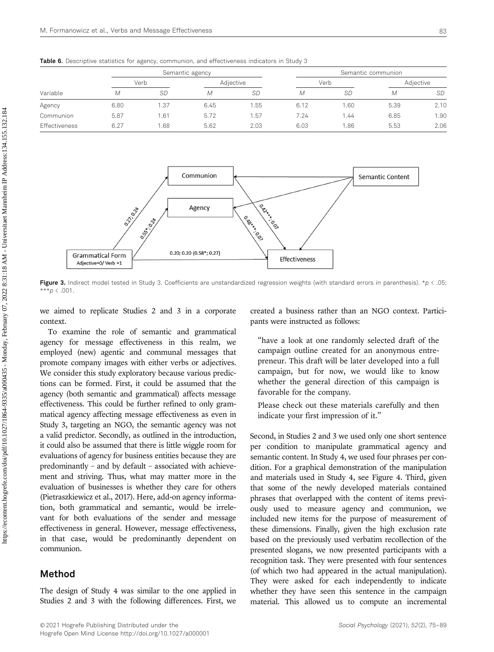| Variable      |      | Semantic agency |      |           | Semantic communion |           |      |           |  |
|---------------|------|-----------------|------|-----------|--------------------|-----------|------|-----------|--|
|               |      | Verb            |      | Adjective |                    | Verb      |      | Adjective |  |
|               | М    | <b>SD</b>       | М    | <b>SD</b> | М                  | <b>SD</b> | М    | <b>SD</b> |  |
| Agency        | 6.80 | 1.37            | 6.45 | 1.55      | 6.12               | 1.60      | 5.39 | 2.10      |  |
| Communion     | 5.87 | 1.61            | 5.72 | 1.57      | 7.24               | 1.44      | 6.85 | 1.90      |  |
| Effectiveness | 6.27 | .68             | 5.62 | 2.03      | 6.03               | 1.86      | 5.53 | 2.06      |  |

Table 6. Descriptive statistics for agency, communion, and effectiveness indicators in Study 3



Figure 3. Indirect model tested in Study 3. Coefficients are unstandardized regression weights (with standard errors in parenthesis).  $*_p$  < .05;  $***p \in .001$ .

we aimed to replicate Studies 2 and 3 in a corporate context.

To examine the role of semantic and grammatical agency for message effectiveness in this realm, we employed (new) agentic and communal messages that promote company images with either verbs or adjectives. We consider this study exploratory because various predictions can be formed. First, it could be assumed that the agency (both semantic and grammatical) affects message effectiveness. This could be further refined to only grammatical agency affecting message effectiveness as even in Study 3, targeting an NGO, the semantic agency was not a valid predictor. Secondly, as outlined in the introduction, it could also be assumed that there is little wiggle room for evaluations of agency for business entities because they are predominantly – and by default – associated with achievement and striving. Thus, what may matter more in the evaluation of businesses is whether they care for others (Pietraszkiewicz et al., 2017). Here, add-on agency information, both grammatical and semantic, would be irrelevant for both evaluations of the sender and message effectiveness in general. However, message effectiveness, in that case, would be predominantly dependent on communion.

#### Method

The design of Study 4 was similar to the one applied in Studies 2 and 3 with the following differences. First, we created a business rather than an NGO context. Participants were instructed as follows:

"have a look at one randomly selected draft of the campaign outline created for an anonymous entrepreneur. This draft will be later developed into a full campaign, but for now, we would like to know whether the general direction of this campaign is favorable for the company.

Please check out these materials carefully and then indicate your first impression of it."

Second, in Studies 2 and 3 we used only one short sentence per condition to manipulate grammatical agency and semantic content. In Study 4, we used four phrases per condition. For a graphical demonstration of the manipulation and materials used in Study 4, see Figure 4. Third, given that some of the newly developed materials contained phrases that overlapped with the content of items previously used to measure agency and communion, we included new items for the purpose of measurement of these dimensions. Finally, given the high exclusion rate based on the previously used verbatim recollection of the presented slogans, we now presented participants with a recognition task. They were presented with four sentences (of which two had appeared in the actual manipulation). They were asked for each independently to indicate whether they have seen this sentence in the campaign material. This allowed us to compute an incremental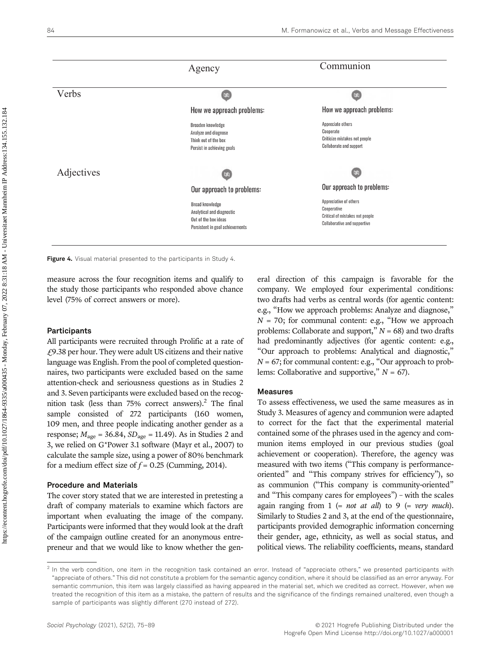

Figure 4. Visual material presented to the participants in Study 4.

measure across the four recognition items and qualify to the study those participants who responded above chance level (75% of correct answers or more).

#### **Participants**

All participants were recruited through Prolific at a rate of £9.38 per hour. They were adult US citizens and their native language was English. From the pool of completed questionnaires, two participants were excluded based on the same attention-check and seriousness questions as in Studies 2 and 3. Seven participants were excluded based on the recognition task (less than  $75%$  correct answers).<sup>2</sup> The final sample consisted of 272 participants (160 women, 109 men, and three people indicating another gender as a response;  $M_{\text{age}} = 36.84$ ,  $SD_{\text{age}} = 11.49$ ). As in Studies 2 and 3, we relied on G\*Power 3.1 software (Mayr et al., 2007) to calculate the sample size, using a power of 80% benchmark for a medium effect size of  $f = 0.25$  (Cumming, 2014).

#### Procedure and Materials

The cover story stated that we are interested in pretesting a draft of company materials to examine which factors are important when evaluating the image of the company. Participants were informed that they would look at the draft of the campaign outline created for an anonymous entrepreneur and that we would like to know whether the general direction of this campaign is favorable for the company. We employed four experimental conditions: two drafts had verbs as central words (for agentic content: e.g., "How we approach problems: Analyze and diagnose,"  $N = 70$ ; for communal content: e.g., "How we approach problems: Collaborate and support,"  $N = 68$ ) and two drafts had predominantly adjectives (for agentic content: e.g., "Our approach to problems: Analytical and diagnostic,"  $N = 67$ ; for communal content: e.g., "Our approach to problems: Collaborative and supportive,"  $N = 67$ ).

#### Measures

To assess effectiveness, we used the same measures as in Study 3. Measures of agency and communion were adapted to correct for the fact that the experimental material contained some of the phrases used in the agency and communion items employed in our previous studies (goal achievement or cooperation). Therefore, the agency was measured with two items ("This company is performanceoriented" and "This company strives for efficiency"), so as communion ("This company is community-oriented" and "This company cares for employees") – with the scales again ranging from  $1$  (= *not at all*) to  $9$  (= *very much*). Similarly to Studies 2 and 3, at the end of the questionnaire, participants provided demographic information concerning their gender, age, ethnicity, as well as social status, and political views. The reliability coefficients, means, standard

 $<sup>2</sup>$  In the verb condition, one item in the recognition task contained an error. Instead of "appreciate others," we presented participants with</sup> "appreciate of others." This did not constitute a problem for the semantic agency condition, where it should be classified as an error anyway. For semantic communion, this item was largely classified as having appeared in the material set, which we credited as correct. However, when we treated the recognition of this item as a mistake, the pattern of results and the significance of the findings remained unaltered, even though a sample of participants was slightly different (270 instead of 272).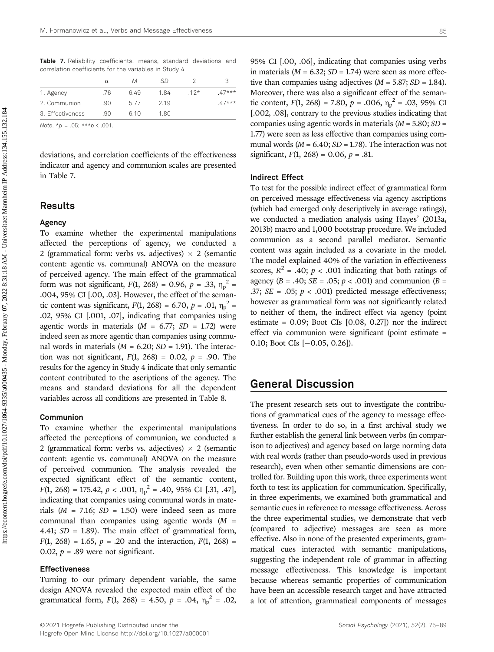Table 7. Reliability coefficients, means, standard deviations and correlation coefficients for the variables in Study 4

|                  | $\alpha$ | М    | SD   |       |         |
|------------------|----------|------|------|-------|---------|
| 1. Agency        | .76      | 6.49 | 1.84 | $12*$ | $47***$ |
| 2. Communion     | .90      | 577  | 2.19 |       | $47***$ |
| 3. Effectiveness | .90      | 610  | 1.80 |       |         |

Note. \* $p = .05$ ; \*\*\* $p < .001$ .

deviations, and correlation coefficients of the effectiveness indicator and agency and communion scales are presented in Table 7.

# Results

#### Agency

To examine whether the experimental manipulations affected the perceptions of agency, we conducted a 2 (grammatical form: verbs vs. adjectives)  $\times$  2 (semantic content: agentic vs. communal) ANOVA on the measure of perceived agency. The main effect of the grammatical form was not significant,  $F(1, 268) = 0.96$ ,  $p = .33$ ,  $\eta_p^2 =$ .004, 95% CI [.00, .03]. However, the effect of the semantic content was significant,  $F(1, 268) = 6.70$ ,  $p = .01$ ,  $\eta_p^2 =$ .02, 95% CI [.001, .07], indicating that companies using agentic words in materials  $(M = 6.77; SD = 1.72)$  were indeed seen as more agentic than companies using communal words in materials ( $M = 6.20$ ;  $SD = 1.91$ ). The interaction was not significant,  $F(1, 268) = 0.02$ ,  $p = .90$ . The results for the agency in Study 4 indicate that only semantic content contributed to the ascriptions of the agency. The means and standard deviations for all the dependent variables across all conditions are presented in Table 8.

#### Communion

To examine whether the experimental manipulations affected the perceptions of communion, we conducted a 2 (grammatical form: verbs vs. adjectives)  $\times$  2 (semantic content: agentic vs. communal) ANOVA on the measure of perceived communion. The analysis revealed the expected significant effect of the semantic content,  $F(1, 268) = 175.42, p < .001, \eta_p^2 = .40, 95\% \text{ CI} [.31, .47],$ indicating that companies using communal words in materials ( $M = 7.16$ ;  $SD = 1.50$ ) were indeed seen as more communal than companies using agentic words  $(M =$ 4.41; SD = 1.89). The main effect of grammatical form,  $F(1, 268) = 1.65$ ,  $p = .20$  and the interaction,  $F(1, 268) =$ 0.02,  $p = .89$  were not significant.

#### Effectiveness

Turning to our primary dependent variable, the same design ANOVA revealed the expected main effect of the grammatical form,  $F(1, 268) = 4.50$ ,  $p = .04$ ,  $\eta_p^2 = .02$ ,

95% CI [.00, .06], indicating that companies using verbs in materials ( $M = 6.32$ ;  $SD = 1.74$ ) were seen as more effective than companies using adjectives ( $M = 5.87$ ;  $SD = 1.84$ ). Moreover, there was also a significant effect of the semantic content,  $F(1, 268) = 7.80$ ,  $p = .006$ ,  $\eta_p^2 = .03$ , 95% CI [.002, .08], contrary to the previous studies indicating that companies using agentic words in materials  $(M = 5.80; SD =$ 1.77) were seen as less effective than companies using communal words ( $M = 6.40$ ;  $SD = 1.78$ ). The interaction was not significant,  $F(1, 268) = 0.06$ ,  $p = .81$ .

#### Indirect Effect

To test for the possible indirect effect of grammatical form on perceived message effectiveness via agency ascriptions (which had emerged only descriptively in average ratings), we conducted a mediation analysis using Hayes' (2013a, 2013b) macro and 1,000 bootstrap procedure. We included communion as a second parallel mediator. Semantic content was again included as a covariate in the model. The model explained 40% of the variation in effectiveness scores,  $R^2 = .40$ ;  $p < .001$  indicating that both ratings of agency ( $B = .40$ ;  $SE = .05$ ;  $p < .001$ ) and communion ( $B =$ .37;  $SE = .05$ ;  $p < .001$ ) predicted message effectiveness; however as grammatical form was not significantly related to neither of them, the indirect effect via agency (point estimate =  $0.09$ ; Boot CIs  $[0.08, 0.27]$  nor the indirect effect via communion were significant (point estimate = 0.10; Boot CIs  $[-0.05, 0.26]$ .

# General Discussion

The present research sets out to investigate the contributions of grammatical cues of the agency to message effectiveness. In order to do so, in a first archival study we further establish the general link between verbs (in comparison to adjectives) and agency based on large norming data with real words (rather than pseudo-words used in previous research), even when other semantic dimensions are controlled for. Building upon this work, three experiments went forth to test its application for communication. Specifically, in three experiments, we examined both grammatical and semantic cues in reference to message effectiveness. Across the three experimental studies, we demonstrate that verb (compared to adjective) messages are seen as more effective. Also in none of the presented experiments, grammatical cues interacted with semantic manipulations, suggesting the independent role of grammar in affecting message effectiveness. This knowledge is important because whereas semantic properties of communication have been an accessible research target and have attracted a lot of attention, grammatical components of messages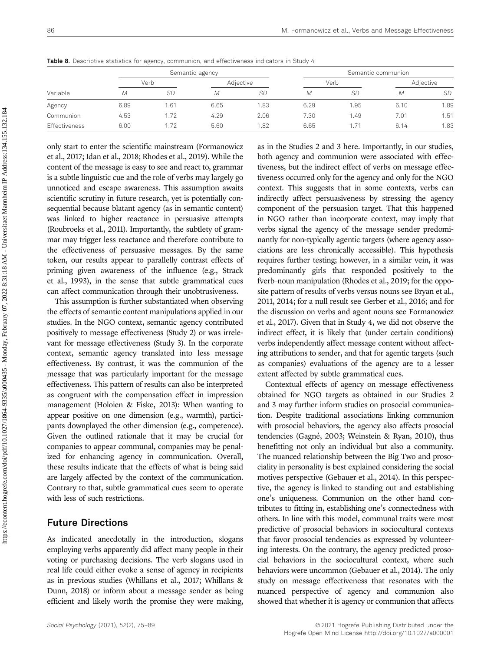|                      |      |           | Semantic agency |           |      |           | Semantic communion |           |
|----------------------|------|-----------|-----------------|-----------|------|-----------|--------------------|-----------|
|                      |      | Verb      |                 | Adjective |      | Verb      |                    | Adjective |
| Variable             | M    | <b>SD</b> | M               | <b>SD</b> | M    | <b>SD</b> | М                  | <b>SD</b> |
| Agency               | 6.89 | .61       | 6.65            | 1.83      | 6.29 | 1.95      | 6.10               | 1.89      |
| Communion            | 4.53 | .72       | 4.29            | 2.06      | 7.30 | 1.49      | 7.01               | 1.51      |
| <b>Effectiveness</b> | 6.00 | .72       | 5.60            | 1.82      | 6.65 | . .71     | 6.14               | 1.83      |

Table 8. Descriptive statistics for agency, communion, and effectiveness indicators in Study 4

only start to enter the scientific mainstream (Formanowicz et al., 2017; Idan et al., 2018; Rhodes et al., 2019). While the content of the message is easy to see and react to, grammar is a subtle linguistic cue and the role of verbs may largely go unnoticed and escape awareness. This assumption awaits scientific scrutiny in future research, yet is potentially consequential because blatant agency (as in semantic content) was linked to higher reactance in persuasive attempts (Roubroeks et al., 2011). Importantly, the subtlety of grammar may trigger less reactance and therefore contribute to the effectiveness of persuasive messages. By the same token, our results appear to parallelly contrast effects of priming given awareness of the influence (e.g., Strack et al., 1993), in the sense that subtle grammatical cues can affect communication through their unobtrusiveness.

This assumption is further substantiated when observing the effects of semantic content manipulations applied in our studies. In the NGO context, semantic agency contributed positively to message effectiveness (Study 2) or was irrelevant for message effectiveness (Study 3). In the corporate context, semantic agency translated into less message effectiveness. By contrast, it was the communion of the message that was particularly important for the message effectiveness. This pattern of results can also be interpreted as congruent with the compensation effect in impression management (Holoien & Fiske, 2013): When wanting to appear positive on one dimension (e.g., warmth), participants downplayed the other dimension (e.g., competence). Given the outlined rationale that it may be crucial for companies to appear communal, companies may be penalized for enhancing agency in communication. Overall, these results indicate that the effects of what is being said are largely affected by the context of the communication. Contrary to that, subtle grammatical cues seem to operate with less of such restrictions.

# Future Directions

As indicated anecdotally in the introduction, slogans employing verbs apparently did affect many people in their voting or purchasing decisions. The verb slogans used in real life could either evoke a sense of agency in recipients as in previous studies (Whillans et al., 2017; Whillans & Dunn, 2018) or inform about a message sender as being efficient and likely worth the promise they were making,

as in the Studies 2 and 3 here. Importantly, in our studies, both agency and communion were associated with effectiveness, but the indirect effect of verbs on message effectiveness occurred only for the agency and only for the NGO context. This suggests that in some contexts, verbs can indirectly affect persuasiveness by stressing the agency component of the persuasion target. That this happened in NGO rather than incorporate context, may imply that verbs signal the agency of the message sender predominantly for non-typically agentic targets (where agency associations are less chronically accessible). This hypothesis requires further testing; however, in a similar vein, it was predominantly girls that responded positively to the fverb–noun manipulation (Rhodes et al., 2019; for the opposite pattern of results of verbs versus nouns see Bryan et al., 2011, 2014; for a null result see Gerber et al., 2016; and for the discussion on verbs and agent nouns see Formanowicz et al., 2017). Given that in Study 4, we did not observe the indirect effect, it is likely that (under certain conditions) verbs independently affect message content without affecting attributions to sender, and that for agentic targets (such as companies) evaluations of the agency are to a lesser extent affected by subtle grammatical cues.

Contextual effects of agency on message effectiveness obtained for NGO targets as obtained in our Studies 2 and 3 may further inform studies on prosocial communication. Despite traditional associations linking communion with prosocial behaviors, the agency also affects prosocial tendencies (Gagné, 2003; Weinstein & Ryan, 2010), thus benefitting not only an individual but also a community. The nuanced relationship between the Big Two and prosociality in personality is best explained considering the social motives perspective (Gebauer et al., 2014). In this perspective, the agency is linked to standing out and establishing one's uniqueness. Communion on the other hand contributes to fitting in, establishing one's connectedness with others. In line with this model, communal traits were most predictive of prosocial behaviors in sociocultural contexts that favor prosocial tendencies as expressed by volunteering interests. On the contrary, the agency predicted prosocial behaviors in the sociocultural context, where such behaviors were uncommon (Gebauer et al., 2014). The only study on message effectiveness that resonates with the nuanced perspective of agency and communion also showed that whether it is agency or communion that affects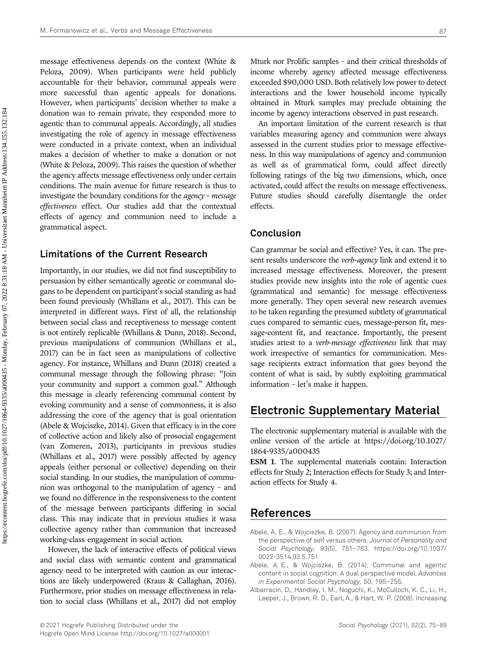message effectiveness depends on the context (White & Peloza, 2009). When participants were held publicly accountable for their behavior, communal appeals were more successful than agentic appeals for donations. However, when participants' decision whether to make a donation was to remain private, they responded more to agentic than to communal appeals. Accordingly, all studies investigating the role of agency in message effectiveness were conducted in a private context, when an individual makes a decision of whether to make a donation or not (White & Peloza, 2009). This raises the question of whether the agency affects message effectiveness only under certain conditions. The main avenue for future research is thus to investigate the boundary conditions for the agency – message effectiveness effect. Our studies add that the contextual effects of agency and communion need to include a grammatical aspect.

### Limitations of the Current Research

Importantly, in our studies, we did not find susceptibility to persuasion by either semantically agentic or communal slogans to be dependent on participant's social standing as had been found previously (Whillans et al., 2017). This can be interpreted in different ways. First of all, the relationship between social class and receptiveness to message content is not entirely replicable (Whillans & Dunn, 2018). Second, previous manipulations of communion (Whillans et al., 2017) can be in fact seen as manipulations of collective agency. For instance, Whillans and Dunn (2018) created a communal message through the following phrase: "Join your community and support a common goal." Although this message is clearly referencing communal content by evoking community and a sense of commonness, it is also addressing the core of the agency that is goal orientation (Abele & Wojciszke, 2014). Given that efficacy is in the core of collective action and likely also of prosocial engagement (van Zomeren, 2013), participants in previous studies (Whillans et al., 2017) were possibly affected by agency appeals (either personal or collective) depending on their social standing. In our studies, the manipulation of communion was orthogonal to the manipulation of agency – and we found no difference in the responsiveness to the content of the message between participants differing in social class. This may indicate that in previous studies it wasa collective agency rather than communion that increased working-class engagement in social action.

However, the lack of interactive effects of political views and social class with semantic content and grammatical agency need to be interpreted with caution as our interactions are likely underpowered (Kraus & Callaghan, 2016). Furthermore, prior studies on message effectiveness in relation to social class (Whillans et al., 2017) did not employ Mturk nor Prolific samples – and their critical thresholds of income whereby agency affected message effectiveness exceeded \$90,000 USD. Both relatively low power to detect interactions and the lower household income typically obtained in Mturk samples may preclude obtaining the income by agency interactions observed in past research.

An important limitation of the current research is that variables measuring agency and communion were always assessed in the current studies prior to message effectiveness. In this way manipulations of agency and communion as well as of grammatical form, could affect directly following ratings of the big two dimensions, which, once activated, could affect the results on message effectiveness. Future studies should carefully disentangle the order effects.

# Conclusion

Can grammar be social and effective? Yes, it can. The present results underscore the *verb-agency* link and extend it to increased message effectiveness. Moreover, the present studies provide new insights into the role of agentic cues (grammatical and semantic) for message effectiveness more generally. They open several new research avenues to be taken regarding the presumed subtlety of grammatical cues compared to semantic cues, message-person fit, message-content fit, and reactance. Importantly, the present studies attest to a *verb-message effectiveness* link that may work irrespective of semantics for communication. Message recipients extract information that goes beyond the content of what is said, by subtly exploiting grammatical information – let's make it happen.

# Electronic Supplementary Material

The electronic supplementary material is available with the online version of the article at [https://doi.org/](https://doi.org/10.1027/1864-9335/a000435)10.1027/ 1864-9335/a[000435](https://doi.org/10.1027/1864-9335/a000435)

ESM 1. The supplemental materials contain: Interaction effects for Study 2; Interaction effects for Study 3; and Interaction effects for Study 4.

# References

- Abele, A. E., & Wojciszke, B. (2007). Agency and communion from the perspective of self versus others. Journal of Personality and Social Psychology, 93(5), 751–763. [https://doi.org/10.1037/](https://doi.org/10.1037/0022-3514.93.5.751) [0022-3514.93.5.751](https://doi.org/10.1037/0022-3514.93.5.751)
- Abele, A. E., & Wojciszke, B. (2014). Communal and agentic content in social cognition: A dual perspective model. Advances in Experimental Social Psychology, 50, 195–255.
- Albarracín, D., Handley, I. M., Noguchi, K., McCulloch, K. C., Li, H., Leeper, J., Brown, R. D., Earl, A., & Hart, W. P. (2008). Increasing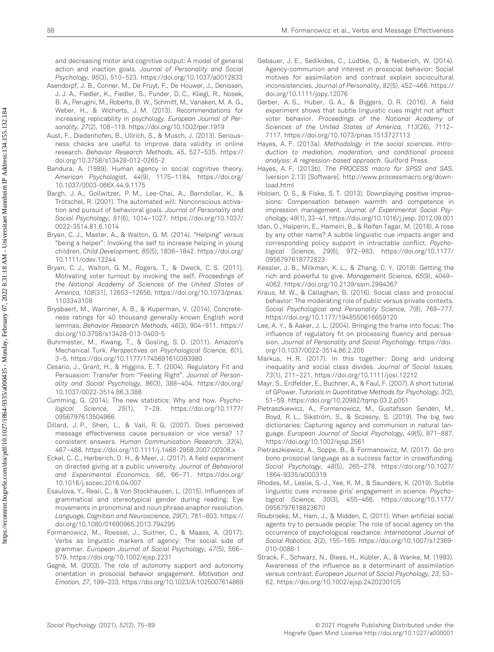and decreasing motor and cognitive output: A model of general action and inaction goals. Journal of Personality and Social Psychology, 95(3), 510–523.<https://doi.org/10.1037/a0012833>

- Asendorpf, J. B., Conner, M., De Fruyt, F., De Houwer, J., Denissen, J. J. A., Fiedler, K., Fiedler, S., Funder, D. C., Kliegl, R., Nosek, B. A., Perugini, M., Roberts, B. W., Schmitt, M., Vanaken, M. A. G., Weber, H., & Wicherts, J. M. (2013). Recommendations for increasing replicability in psychology. European Journal of Personality, 27(2), 108–119.<https://doi.org/10.1002/per.1919>
- Aust, F., Diedenhofen, B., Ullrich, S., & Musch, J. (2013). Seriousness checks are useful to improve data validity in online research. Behavior Research Methods, 45, 527–535. [https://](https://doi.org/10.3758/s13428-012-0265-2) [doi.org/10.3758/s13428-012-0265-2](https://doi.org/10.3758/s13428-012-0265-2)
- Bandura, A. (1989). Human agency in social cognitive theory. American Psychologist, 44(9), 1175–1184. [https://doi.org/](https://doi.org/10.1037/0003-066X.44.9.1175) [10.1037/0003-066X.44.9.1175](https://doi.org/10.1037/0003-066X.44.9.1175)
- Bargh, J. A., Gollwitzer, P. M., Lee-Chai, A., Barndollar, K., & Trötschel, R. (2001). The automated will: Nonconscious activation and pursuit of behavioral goals. Journal of Personality and Social Psychology, 81(6), 1014–1027. [https://doi.org/10.1037/](https://doi.org/10.1037/0022-3514.81.6.1014) [0022-3514.81.6.1014](https://doi.org/10.1037/0022-3514.81.6.1014)
- Bryan, C. J., Master, A., & Walton, G. M. (2014). "Helping" versus "being a helper": Invoking the self to increase helping in young children. Child Development, 85(5), 1836–1842. [https://doi.org/](https://doi.org/10.1111/cdev.12244) [10.1111/cdev.12244](https://doi.org/10.1111/cdev.12244)
- Bryan, C. J., Walton, G. M., Rogers, T., & Dweck, C. S. (2011). Motivating voter turnout by invoking the self. Proceedings of the National Academy of Sciences of the United States of America, 108(31), 12653–12656. [https://doi.org/10.1073/pnas.](https://doi.org/10.1073/pnas.1103343108) [1103343108](https://doi.org/10.1073/pnas.1103343108)
- Brysbaert, M., Warriner, A. B., & Kuperman, V. (2014). Concreteness ratings for 40 thousand generally known English word lemmas. Behavior Research Methods, 46(3), 904–911. [https://](https://doi.org/10.3758/s13428-013-0403-5) [doi.org/10.3758/s13428-013-0403-5](https://doi.org/10.3758/s13428-013-0403-5)
- Buhrmester, M., Kwang, T., & Gosling, S. D. (2011). Amazon's Mechanical Turk. Perspectives on Psychological Science, 6(1), 3–5.<https://doi.org/10.1177/1745691610393980>
- Cesario, J., Grant, H., & Higgins, E. T. (2004). Regulatory Fit and Persuasion: Transfer from "Feeling Right". Journal of Personality and Social Psychology, 86(3), 388–404. [https://doi.org/](https://doi.org/10.1037/0022-3514.86.3.388) [10.1037/0022-3514.86.3.388](https://doi.org/10.1037/0022-3514.86.3.388)
- Cumming, G. (2014). The new statistics: Why and how. Psychological Science, 25(1), 7–29. [https://doi.org/10.1177/](https://doi.org/10.1177/0956797613504966) [0956797613504966](https://doi.org/10.1177/0956797613504966)
- Dillard, J. P., Shen, L., & Vail, R. G. (2007). Does perceived message effectiveness cause persuasion or vice versa? 17 consistent answers. Human Communication Research, 33(4), 467–488.<https://doi.org/10.1111/j.1468-2958.2007.00308.x>
- Eckel, C. C., Herberich, D. H., & Meer, J. (2017). A field experiment on directed giving at a public university. Journal of Behavioral and Experimental Economics, 66, 66–71. [https://doi.org/](https://doi.org/10.1016/j.socec.2016.04.007) [10.1016/j.socec.2016.04.007](https://doi.org/10.1016/j.socec.2016.04.007)
- Esaulova, Y., Reali, C., & Von Stockhausen, L. (2015). Influences of grammatical and stereotypical gender during reading: Eye movements in pronominal and noun phrase anaphor resolution. Language, Cognition and Neuroscience, 29(7), 781–803. [https://](https://doi.org/10.1080/01690965.2013.794295) [doi.org/10.1080/01690965.2013.794295](https://doi.org/10.1080/01690965.2013.794295)
- Formanowicz, M., Roessel, J., Suitner, C., & Maass, A. (2017). Verbs as linguistic markers of agency: The social side of grammar. European Journal of Social Psychology, 47(5), 566– 579.<https://doi.org/10.1002/ejsp.2231>
- Gagné, M. (2003). The role of autonomy support and autonomy orientation in prosocial behavior engagement. Motivation and Emotion, 27, 199–233.<https://doi.org/10.1023/A:1025007614869>
- Gebauer, J. E., Sedikides, C., Lüdtke, O., & Neberich, W. (2014). Agency-communion and interest in prosocial behavior: Social motives for assimilation and contrast explain sociocultural inconsistencies. Journal of Personality, 82(5), 452–466. [https://](https://doi.org/10.1111/jopy.12076) [doi.org/10.1111/jopy.12076](https://doi.org/10.1111/jopy.12076)
- Gerber, A. S., Huber, G. A., & Biggers, D. R. (2016). A field experiment shows that subtle linguistic cues might not affect voter behavior. Proceedings of the National Academy of Sciences of the United States of America, 113(26), 7112– 7117.<https://doi.org/10.1073/pnas.1513727113>
- Hayes, A. F. (2013a). Methodology in the social sciences. Introduction to mediation, moderation, and conditional process analysis: A regression-based approach. Guilford Press.
- Hayes, A. F. (2013b). The PROCESS macro for SPSS and SAS. [\(version 2.13\) \[Software\]. http://www.processmacro.org/down](http://dx.doi.org/)[load.html](http://dx.doi.org/)
- Holoien, D. S., & Fiske, S. T. (2013). Downplaying positive impressions: Compensation between warmth and competence in impression management. Journal of Experimental Social Psychology, 49(1), 33–41. [https://doi.org/10.1016/j.jesp. 2012.09.001](https://doi.org/10.1016/j.�jesp. 2012.09.001)
- Idan, O., Halperin, E., Hameiri, B., & Reifen Tagar, M. (2018). A rose by any other name? A subtle linguistic cue impacts anger and corresponding policy support in intractable conflict. Psychological Science, 29(6), 972–983. [https://doi.org/10.1177/](https://doi.org/10.1177/0956797618772823) [0956797618772823](https://doi.org/10.1177/0956797618772823)
- Kessler, J. B., Milkman, K. L., & Zhang, C. Y. (2019). Getting the rich and powerful to give. Management Science, 65(9), 4049– 4062.<https://doi.org/10.2139/ssrn.2994367>
- Kraus, M. W., & Callaghan, B. (2016). Social class and prosocial behavior: The moderating role of public versus private contexts. Social Psychological and Personality Science, 7(8), 769–777. <https://doi.org/10.1177/1948550616659120>
- Lee, A. Y., & Aaker, J. L. (2004). Bringing the frame into focus: The influence of regulatory fit on processing fluency and persuasion. Journal of Personality and Social Psychology. [https://doi.](https://doi.org/10.1037/0022-3514.86.2.205) [org/10.1037/0022-3514.86.2.205](https://doi.org/10.1037/0022-3514.86.2.205)
- Markus, H. R. (2017). In this together: Doing and undoing inequality and social class divides. Journal of Social Issues, 73(1), 211–221.<https://doi.org/10.1111/josi.12212>
- Mayr, S., Erdfelder, E., Buchner, A., & Faul, F. (2007). A short tutorial of GPower. Tutorials in Quantitative Methods for Psychology, 3(2), 51–59.<https://doi.org/10.20982/tqmp.03.2.p051>
- Pietraszkiewicz, A., Formanowicz, M., Gustafsson Sendén, M., Boyd, R. L., Sikström, S., & Sczesny, S. (2019). The big two dictionaries: Capturing agency and communion in natural language. European Journal of Social Psychology, 49(5), 871–887. <https://doi.org/10.1002/ejsp.2561>
- Pietraszkiewicz, A., Soppe, B., & Formanowicz, M. (2017). Go pro bono prosocial language as a success factor in crowdfunding. Social Psychology, 48(5), 265–278. [https://doi.org/10.1027/](https://doi.org/10.1027/1864-9335/a000319) [1864-9335/a000319](https://doi.org/10.1027/1864-9335/a000319)
- Rhodes, M., Leslie, S.-J., Yee, K. M., & Saunders, K. (2019). Subtle linguistic cues increase girls' engagement in science. Psychological Science, 30(3), 455–466. [https://doi.org/10.1177/](https://doi.org/10.1177/0956797618823670) [0956797618823670](https://doi.org/10.1177/0956797618823670)
- Roubroeks, M., Ham, J., & Midden, C. (2011). When artificial social agents try to persuade people: The role of social agency on the occurrence of psychological reactance. International Journal of Social Robotics, 3(2), 155–165. [https://doi.org/10.1007/s12369-](https://doi.org/10.1007/s12369-010-0088-1) [010-0088-1](https://doi.org/10.1007/s12369-010-0088-1)
- Strack, F., Schwarz, N., Bless, H., Kübler, A., & Wänke, M. (1993). Awareness of the influence as a determinant of assimilation versus contrast. European Journal of Social Psychology, 23, 53– 62.<https://doi.org/10.1002/ejsp.2420230105>